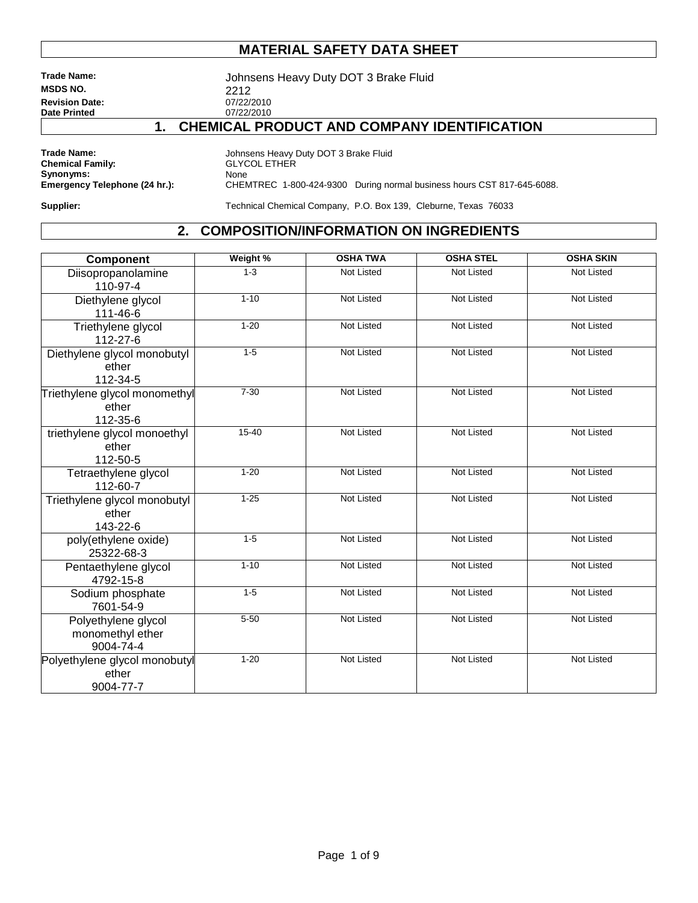**MSDS NO.** 2212<br> **Revision Date:** 2021/22/2010 **Revision Date:** 07/22/2010<br> **Date Printed** 07/22/2010 **Date Printed** 

**Trade Name:** Johnsens Heavy Duty DOT 3 Brake Fluid

### **1. CHEMICAL PRODUCT AND COMPANY IDENTIFICATION**

**Synonyms:**<br>Emergency Telephone (24 hr.):

**Trade Name:** Johnsens Heavy Duty DOT 3 Brake Fluid Chemical Family:  $\text{GLYCOL ETHER}$ **CHANGIL ETHER**<br>None CHEMTREC 1-800-424-9300 During normal business hours CST 817-645-6088.

**Supplier:** Technical Chemical Company, P.O. Box 139, Cleburne, Texas 76033

#### **2. COMPOSITION/INFORMATION ON INGREDIENTS**

| <b>Component</b>                                     | Weight %  | <b>OSHA TWA</b>   | <b>OSHA STEL</b>  | <b>OSHA SKIN</b>  |
|------------------------------------------------------|-----------|-------------------|-------------------|-------------------|
| Diisopropanolamine<br>110-97-4                       | $1 - 3$   | <b>Not Listed</b> | Not Listed        | <b>Not Listed</b> |
| Diethylene glycol<br>111-46-6                        | $1 - 10$  | <b>Not Listed</b> | <b>Not Listed</b> | <b>Not Listed</b> |
| Triethylene glycol<br>112-27-6                       | $1 - 20$  | Not Listed        | Not Listed        | Not Listed        |
| Diethylene glycol monobutyl<br>ether<br>112-34-5     | $1 - 5$   | <b>Not Listed</b> | <b>Not Listed</b> | <b>Not Listed</b> |
| Triethylene glycol monomethyl<br>ether<br>112-35-6   | $7 - 30$  | Not Listed        | Not Listed        | Not Listed        |
| triethylene glycol monoethyl<br>ether<br>112-50-5    | $15 - 40$ | <b>Not Listed</b> | <b>Not Listed</b> | <b>Not Listed</b> |
| Tetraethylene glycol<br>112-60-7                     | $1 - 20$  | <b>Not Listed</b> | <b>Not Listed</b> | <b>Not Listed</b> |
| Triethylene glycol monobutyl<br>ether<br>143-22-6    | $1 - 25$  | <b>Not Listed</b> | <b>Not Listed</b> | <b>Not Listed</b> |
| poly(ethylene oxide)<br>25322-68-3                   | $1 - 5$   | <b>Not Listed</b> | Not Listed        | Not Listed        |
| Pentaethylene glycol<br>4792-15-8                    | $1 - 10$  | <b>Not Listed</b> | <b>Not Listed</b> | <b>Not Listed</b> |
| Sodium phosphate<br>7601-54-9                        | $1 - 5$   | <b>Not Listed</b> | Not Listed        | Not Listed        |
| Polyethylene glycol<br>monomethyl ether<br>9004-74-4 | $5 - 50$  | Not Listed        | Not Listed        | Not Listed        |
| Polyethylene glycol monobutyl<br>ether<br>9004-77-7  | $1 - 20$  | Not Listed        | Not Listed        | Not Listed        |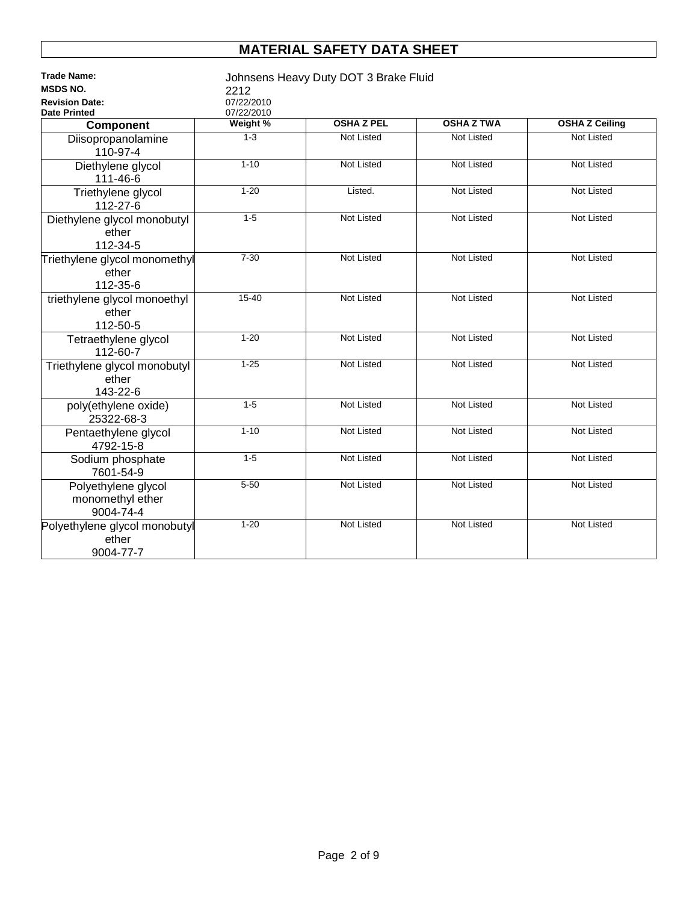| <b>MSDS NO.</b><br>2212<br>07/22/2010<br><b>Revision Date:</b><br>07/22/2010<br><b>Date Printed</b><br><b>OSHA Z PEL</b><br>Weight %<br><b>OSHA Z TWA</b><br><b>OSHA Z Ceiling</b><br>Component<br>$1 - 3$<br><b>Not Listed</b><br><b>Not Listed</b><br><b>Not Listed</b><br>Diisopropanolamine<br>110-97-4<br>$1 - 10$<br><b>Not Listed</b><br><b>Not Listed</b><br><b>Not Listed</b><br>Diethylene glycol<br>111-46-6<br>$1 - 20$<br><b>Not Listed</b><br><b>Not Listed</b><br>Triethylene glycol<br>Listed.<br>112-27-6<br>$1-5$<br><b>Not Listed</b><br><b>Not Listed</b><br><b>Not Listed</b><br>Diethylene glycol monobutyl<br>ether<br>112-34-5<br>$7 - 30$<br><b>Not Listed</b><br>Not Listed<br><b>Not Listed</b><br>Triethylene glycol monomethyl<br>ether<br>112-35-6 | <b>Trade Name:</b>           |           | Johnsens Heavy Duty DOT 3 Brake Fluid |            |            |
|----------------------------------------------------------------------------------------------------------------------------------------------------------------------------------------------------------------------------------------------------------------------------------------------------------------------------------------------------------------------------------------------------------------------------------------------------------------------------------------------------------------------------------------------------------------------------------------------------------------------------------------------------------------------------------------------------------------------------------------------------------------------------------|------------------------------|-----------|---------------------------------------|------------|------------|
|                                                                                                                                                                                                                                                                                                                                                                                                                                                                                                                                                                                                                                                                                                                                                                                  |                              |           |                                       |            |            |
|                                                                                                                                                                                                                                                                                                                                                                                                                                                                                                                                                                                                                                                                                                                                                                                  |                              |           |                                       |            |            |
|                                                                                                                                                                                                                                                                                                                                                                                                                                                                                                                                                                                                                                                                                                                                                                                  |                              |           |                                       |            |            |
|                                                                                                                                                                                                                                                                                                                                                                                                                                                                                                                                                                                                                                                                                                                                                                                  |                              |           |                                       |            |            |
|                                                                                                                                                                                                                                                                                                                                                                                                                                                                                                                                                                                                                                                                                                                                                                                  |                              |           |                                       |            |            |
|                                                                                                                                                                                                                                                                                                                                                                                                                                                                                                                                                                                                                                                                                                                                                                                  |                              |           |                                       |            |            |
|                                                                                                                                                                                                                                                                                                                                                                                                                                                                                                                                                                                                                                                                                                                                                                                  |                              |           |                                       |            |            |
|                                                                                                                                                                                                                                                                                                                                                                                                                                                                                                                                                                                                                                                                                                                                                                                  |                              |           |                                       |            |            |
|                                                                                                                                                                                                                                                                                                                                                                                                                                                                                                                                                                                                                                                                                                                                                                                  |                              |           |                                       |            |            |
|                                                                                                                                                                                                                                                                                                                                                                                                                                                                                                                                                                                                                                                                                                                                                                                  |                              |           |                                       |            |            |
|                                                                                                                                                                                                                                                                                                                                                                                                                                                                                                                                                                                                                                                                                                                                                                                  |                              |           |                                       |            |            |
|                                                                                                                                                                                                                                                                                                                                                                                                                                                                                                                                                                                                                                                                                                                                                                                  |                              |           |                                       |            |            |
|                                                                                                                                                                                                                                                                                                                                                                                                                                                                                                                                                                                                                                                                                                                                                                                  |                              |           |                                       |            |            |
|                                                                                                                                                                                                                                                                                                                                                                                                                                                                                                                                                                                                                                                                                                                                                                                  |                              |           |                                       |            |            |
|                                                                                                                                                                                                                                                                                                                                                                                                                                                                                                                                                                                                                                                                                                                                                                                  |                              |           |                                       |            |            |
|                                                                                                                                                                                                                                                                                                                                                                                                                                                                                                                                                                                                                                                                                                                                                                                  |                              |           |                                       |            |            |
|                                                                                                                                                                                                                                                                                                                                                                                                                                                                                                                                                                                                                                                                                                                                                                                  | triethylene glycol monoethyl | $15 - 40$ | <b>Not Listed</b>                     | Not Listed | Not Listed |
| ether                                                                                                                                                                                                                                                                                                                                                                                                                                                                                                                                                                                                                                                                                                                                                                            |                              |           |                                       |            |            |
| 112-50-5                                                                                                                                                                                                                                                                                                                                                                                                                                                                                                                                                                                                                                                                                                                                                                         |                              |           |                                       |            |            |
| $1 - 20$<br><b>Not Listed</b><br><b>Not Listed</b><br><b>Not Listed</b><br>Tetraethylene glycol                                                                                                                                                                                                                                                                                                                                                                                                                                                                                                                                                                                                                                                                                  |                              |           |                                       |            |            |
| 112-60-7                                                                                                                                                                                                                                                                                                                                                                                                                                                                                                                                                                                                                                                                                                                                                                         |                              |           |                                       |            |            |
| $1 - 25$<br><b>Not Listed</b><br><b>Not Listed</b><br><b>Not Listed</b><br>Triethylene glycol monobutyl                                                                                                                                                                                                                                                                                                                                                                                                                                                                                                                                                                                                                                                                          |                              |           |                                       |            |            |
| ether                                                                                                                                                                                                                                                                                                                                                                                                                                                                                                                                                                                                                                                                                                                                                                            |                              |           |                                       |            |            |
| 143-22-6                                                                                                                                                                                                                                                                                                                                                                                                                                                                                                                                                                                                                                                                                                                                                                         |                              |           |                                       |            |            |
| $1 - 5$<br><b>Not Listed</b><br><b>Not Listed</b><br><b>Not Listed</b><br>poly(ethylene oxide)                                                                                                                                                                                                                                                                                                                                                                                                                                                                                                                                                                                                                                                                                   |                              |           |                                       |            |            |
| 25322-68-3                                                                                                                                                                                                                                                                                                                                                                                                                                                                                                                                                                                                                                                                                                                                                                       |                              |           |                                       |            |            |
| $1 - 10$<br><b>Not Listed</b><br><b>Not Listed</b><br><b>Not Listed</b><br>Pentaethylene glycol                                                                                                                                                                                                                                                                                                                                                                                                                                                                                                                                                                                                                                                                                  |                              |           |                                       |            |            |
| 4792-15-8                                                                                                                                                                                                                                                                                                                                                                                                                                                                                                                                                                                                                                                                                                                                                                        |                              |           |                                       |            |            |
| $1 - 5$<br><b>Not Listed</b><br><b>Not Listed</b><br><b>Not Listed</b><br>Sodium phosphate                                                                                                                                                                                                                                                                                                                                                                                                                                                                                                                                                                                                                                                                                       |                              |           |                                       |            |            |
| 7601-54-9                                                                                                                                                                                                                                                                                                                                                                                                                                                                                                                                                                                                                                                                                                                                                                        |                              |           |                                       |            |            |
| $5 - 50$<br><b>Not Listed</b><br><b>Not Listed</b><br><b>Not Listed</b><br>Polyethylene glycol                                                                                                                                                                                                                                                                                                                                                                                                                                                                                                                                                                                                                                                                                   |                              |           |                                       |            |            |
| monomethyl ether                                                                                                                                                                                                                                                                                                                                                                                                                                                                                                                                                                                                                                                                                                                                                                 |                              |           |                                       |            |            |
| 9004-74-4                                                                                                                                                                                                                                                                                                                                                                                                                                                                                                                                                                                                                                                                                                                                                                        |                              |           |                                       |            |            |
| $1 - 20$<br>Not Listed<br>Not Listed<br><b>Not Listed</b><br>Polyethylene glycol monobutyl                                                                                                                                                                                                                                                                                                                                                                                                                                                                                                                                                                                                                                                                                       |                              |           |                                       |            |            |
| ether                                                                                                                                                                                                                                                                                                                                                                                                                                                                                                                                                                                                                                                                                                                                                                            |                              |           |                                       |            |            |
| 9004-77-7                                                                                                                                                                                                                                                                                                                                                                                                                                                                                                                                                                                                                                                                                                                                                                        |                              |           |                                       |            |            |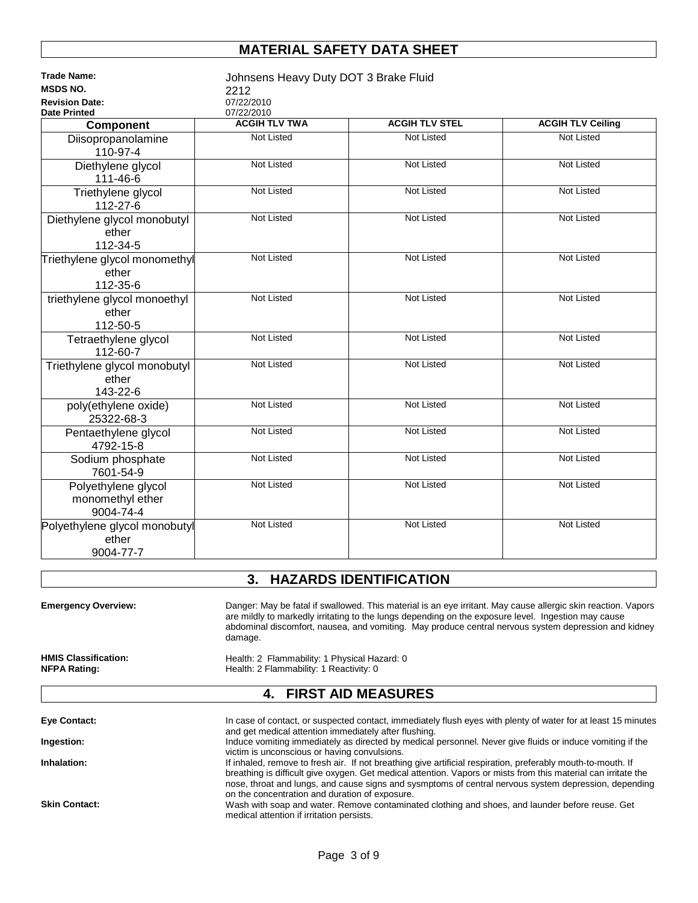| 2212<br>07/22/2010<br>07/22/2010<br><b>Date Printed</b><br><b>ACGIH TLV STEL</b><br><b>ACGIH TLV TWA</b><br><b>ACGIH TLV Ceiling</b><br>Component<br><b>Not Listed</b><br>Not Listed<br><b>Not Listed</b><br>Diisopropanolamine<br>110-97-4<br><b>Not Listed</b><br><b>Not Listed</b><br><b>Not Listed</b><br>Diethylene glycol<br>111-46-6<br>Not Listed<br>Not Listed<br>Not Listed<br>Triethylene glycol<br>112-27-6<br><b>Not Listed</b><br><b>Not Listed</b><br>Not Listed<br>Diethylene glycol monobutyl<br>ether<br>112-34-5<br><b>Not Listed</b><br><b>Not Listed</b><br><b>Not Listed</b><br>Triethylene glycol monomethyl<br>ether<br>112-35-6<br><b>Not Listed</b><br><b>Not Listed</b><br><b>Not Listed</b><br>triethylene glycol monoethyl<br>ether<br>112-50-5<br><b>Not Listed</b><br><b>Not Listed</b><br><b>Not Listed</b><br>Tetraethylene glycol<br>112-60-7<br><b>Not Listed</b><br><b>Not Listed</b><br><b>Not Listed</b><br>Triethylene glycol monobutyl<br>ether<br>143-22-6<br><b>Not Listed</b><br><b>Not Listed</b><br><b>Not Listed</b><br>poly(ethylene oxide)<br>25322-68-3<br><b>Not Listed</b><br><b>Not Listed</b><br>Not Listed<br>Pentaethylene glycol<br>4792-15-8<br><b>Not Listed</b><br>Not Listed<br>Not Listed<br>Sodium phosphate<br>7601-54-9<br><b>Not Listed</b><br>Not Listed<br>Not Listed<br>Polyethylene glycol<br>monomethyl ether<br>9004-74-4<br><b>Not Listed</b><br>Not Listed<br>Not Listed<br>Polyethylene glycol monobutyl<br>ether | <b>Trade Name:</b>    | Johnsens Heavy Duty DOT 3 Brake Fluid |  |  |  |  |
|---------------------------------------------------------------------------------------------------------------------------------------------------------------------------------------------------------------------------------------------------------------------------------------------------------------------------------------------------------------------------------------------------------------------------------------------------------------------------------------------------------------------------------------------------------------------------------------------------------------------------------------------------------------------------------------------------------------------------------------------------------------------------------------------------------------------------------------------------------------------------------------------------------------------------------------------------------------------------------------------------------------------------------------------------------------------------------------------------------------------------------------------------------------------------------------------------------------------------------------------------------------------------------------------------------------------------------------------------------------------------------------------------------------------------------------------------------------------------------------------|-----------------------|---------------------------------------|--|--|--|--|
|                                                                                                                                                                                                                                                                                                                                                                                                                                                                                                                                                                                                                                                                                                                                                                                                                                                                                                                                                                                                                                                                                                                                                                                                                                                                                                                                                                                                                                                                                             | <b>MSDS NO.</b>       |                                       |  |  |  |  |
|                                                                                                                                                                                                                                                                                                                                                                                                                                                                                                                                                                                                                                                                                                                                                                                                                                                                                                                                                                                                                                                                                                                                                                                                                                                                                                                                                                                                                                                                                             | <b>Revision Date:</b> |                                       |  |  |  |  |
|                                                                                                                                                                                                                                                                                                                                                                                                                                                                                                                                                                                                                                                                                                                                                                                                                                                                                                                                                                                                                                                                                                                                                                                                                                                                                                                                                                                                                                                                                             |                       |                                       |  |  |  |  |
|                                                                                                                                                                                                                                                                                                                                                                                                                                                                                                                                                                                                                                                                                                                                                                                                                                                                                                                                                                                                                                                                                                                                                                                                                                                                                                                                                                                                                                                                                             |                       |                                       |  |  |  |  |
|                                                                                                                                                                                                                                                                                                                                                                                                                                                                                                                                                                                                                                                                                                                                                                                                                                                                                                                                                                                                                                                                                                                                                                                                                                                                                                                                                                                                                                                                                             |                       |                                       |  |  |  |  |
|                                                                                                                                                                                                                                                                                                                                                                                                                                                                                                                                                                                                                                                                                                                                                                                                                                                                                                                                                                                                                                                                                                                                                                                                                                                                                                                                                                                                                                                                                             |                       |                                       |  |  |  |  |
|                                                                                                                                                                                                                                                                                                                                                                                                                                                                                                                                                                                                                                                                                                                                                                                                                                                                                                                                                                                                                                                                                                                                                                                                                                                                                                                                                                                                                                                                                             |                       |                                       |  |  |  |  |
|                                                                                                                                                                                                                                                                                                                                                                                                                                                                                                                                                                                                                                                                                                                                                                                                                                                                                                                                                                                                                                                                                                                                                                                                                                                                                                                                                                                                                                                                                             |                       |                                       |  |  |  |  |
|                                                                                                                                                                                                                                                                                                                                                                                                                                                                                                                                                                                                                                                                                                                                                                                                                                                                                                                                                                                                                                                                                                                                                                                                                                                                                                                                                                                                                                                                                             |                       |                                       |  |  |  |  |
|                                                                                                                                                                                                                                                                                                                                                                                                                                                                                                                                                                                                                                                                                                                                                                                                                                                                                                                                                                                                                                                                                                                                                                                                                                                                                                                                                                                                                                                                                             |                       |                                       |  |  |  |  |
|                                                                                                                                                                                                                                                                                                                                                                                                                                                                                                                                                                                                                                                                                                                                                                                                                                                                                                                                                                                                                                                                                                                                                                                                                                                                                                                                                                                                                                                                                             |                       |                                       |  |  |  |  |
|                                                                                                                                                                                                                                                                                                                                                                                                                                                                                                                                                                                                                                                                                                                                                                                                                                                                                                                                                                                                                                                                                                                                                                                                                                                                                                                                                                                                                                                                                             |                       |                                       |  |  |  |  |
|                                                                                                                                                                                                                                                                                                                                                                                                                                                                                                                                                                                                                                                                                                                                                                                                                                                                                                                                                                                                                                                                                                                                                                                                                                                                                                                                                                                                                                                                                             |                       |                                       |  |  |  |  |
|                                                                                                                                                                                                                                                                                                                                                                                                                                                                                                                                                                                                                                                                                                                                                                                                                                                                                                                                                                                                                                                                                                                                                                                                                                                                                                                                                                                                                                                                                             |                       |                                       |  |  |  |  |
|                                                                                                                                                                                                                                                                                                                                                                                                                                                                                                                                                                                                                                                                                                                                                                                                                                                                                                                                                                                                                                                                                                                                                                                                                                                                                                                                                                                                                                                                                             |                       |                                       |  |  |  |  |
|                                                                                                                                                                                                                                                                                                                                                                                                                                                                                                                                                                                                                                                                                                                                                                                                                                                                                                                                                                                                                                                                                                                                                                                                                                                                                                                                                                                                                                                                                             |                       |                                       |  |  |  |  |
|                                                                                                                                                                                                                                                                                                                                                                                                                                                                                                                                                                                                                                                                                                                                                                                                                                                                                                                                                                                                                                                                                                                                                                                                                                                                                                                                                                                                                                                                                             |                       |                                       |  |  |  |  |
|                                                                                                                                                                                                                                                                                                                                                                                                                                                                                                                                                                                                                                                                                                                                                                                                                                                                                                                                                                                                                                                                                                                                                                                                                                                                                                                                                                                                                                                                                             |                       |                                       |  |  |  |  |
|                                                                                                                                                                                                                                                                                                                                                                                                                                                                                                                                                                                                                                                                                                                                                                                                                                                                                                                                                                                                                                                                                                                                                                                                                                                                                                                                                                                                                                                                                             |                       |                                       |  |  |  |  |
|                                                                                                                                                                                                                                                                                                                                                                                                                                                                                                                                                                                                                                                                                                                                                                                                                                                                                                                                                                                                                                                                                                                                                                                                                                                                                                                                                                                                                                                                                             |                       |                                       |  |  |  |  |
|                                                                                                                                                                                                                                                                                                                                                                                                                                                                                                                                                                                                                                                                                                                                                                                                                                                                                                                                                                                                                                                                                                                                                                                                                                                                                                                                                                                                                                                                                             |                       |                                       |  |  |  |  |
|                                                                                                                                                                                                                                                                                                                                                                                                                                                                                                                                                                                                                                                                                                                                                                                                                                                                                                                                                                                                                                                                                                                                                                                                                                                                                                                                                                                                                                                                                             |                       |                                       |  |  |  |  |
|                                                                                                                                                                                                                                                                                                                                                                                                                                                                                                                                                                                                                                                                                                                                                                                                                                                                                                                                                                                                                                                                                                                                                                                                                                                                                                                                                                                                                                                                                             |                       |                                       |  |  |  |  |
|                                                                                                                                                                                                                                                                                                                                                                                                                                                                                                                                                                                                                                                                                                                                                                                                                                                                                                                                                                                                                                                                                                                                                                                                                                                                                                                                                                                                                                                                                             |                       |                                       |  |  |  |  |
|                                                                                                                                                                                                                                                                                                                                                                                                                                                                                                                                                                                                                                                                                                                                                                                                                                                                                                                                                                                                                                                                                                                                                                                                                                                                                                                                                                                                                                                                                             |                       |                                       |  |  |  |  |
|                                                                                                                                                                                                                                                                                                                                                                                                                                                                                                                                                                                                                                                                                                                                                                                                                                                                                                                                                                                                                                                                                                                                                                                                                                                                                                                                                                                                                                                                                             |                       |                                       |  |  |  |  |
|                                                                                                                                                                                                                                                                                                                                                                                                                                                                                                                                                                                                                                                                                                                                                                                                                                                                                                                                                                                                                                                                                                                                                                                                                                                                                                                                                                                                                                                                                             |                       |                                       |  |  |  |  |
|                                                                                                                                                                                                                                                                                                                                                                                                                                                                                                                                                                                                                                                                                                                                                                                                                                                                                                                                                                                                                                                                                                                                                                                                                                                                                                                                                                                                                                                                                             |                       |                                       |  |  |  |  |
|                                                                                                                                                                                                                                                                                                                                                                                                                                                                                                                                                                                                                                                                                                                                                                                                                                                                                                                                                                                                                                                                                                                                                                                                                                                                                                                                                                                                                                                                                             |                       |                                       |  |  |  |  |
|                                                                                                                                                                                                                                                                                                                                                                                                                                                                                                                                                                                                                                                                                                                                                                                                                                                                                                                                                                                                                                                                                                                                                                                                                                                                                                                                                                                                                                                                                             |                       |                                       |  |  |  |  |
|                                                                                                                                                                                                                                                                                                                                                                                                                                                                                                                                                                                                                                                                                                                                                                                                                                                                                                                                                                                                                                                                                                                                                                                                                                                                                                                                                                                                                                                                                             |                       |                                       |  |  |  |  |
|                                                                                                                                                                                                                                                                                                                                                                                                                                                                                                                                                                                                                                                                                                                                                                                                                                                                                                                                                                                                                                                                                                                                                                                                                                                                                                                                                                                                                                                                                             |                       |                                       |  |  |  |  |
|                                                                                                                                                                                                                                                                                                                                                                                                                                                                                                                                                                                                                                                                                                                                                                                                                                                                                                                                                                                                                                                                                                                                                                                                                                                                                                                                                                                                                                                                                             |                       |                                       |  |  |  |  |
|                                                                                                                                                                                                                                                                                                                                                                                                                                                                                                                                                                                                                                                                                                                                                                                                                                                                                                                                                                                                                                                                                                                                                                                                                                                                                                                                                                                                                                                                                             |                       |                                       |  |  |  |  |
|                                                                                                                                                                                                                                                                                                                                                                                                                                                                                                                                                                                                                                                                                                                                                                                                                                                                                                                                                                                                                                                                                                                                                                                                                                                                                                                                                                                                                                                                                             |                       |                                       |  |  |  |  |
|                                                                                                                                                                                                                                                                                                                                                                                                                                                                                                                                                                                                                                                                                                                                                                                                                                                                                                                                                                                                                                                                                                                                                                                                                                                                                                                                                                                                                                                                                             | 9004-77-7             |                                       |  |  |  |  |

# **3. HAZARDS IDENTIFICATION**

| <b>Emergency Overview:</b>                         | Danger: May be fatal if swallowed. This material is an eye irritant. May cause allergic skin reaction. Vapors<br>are mildly to markedly irritating to the lungs depending on the exposure level. Ingestion may cause<br>abdominal discomfort, nausea, and vomiting. May produce central nervous system depression and kidney<br>damage. |
|----------------------------------------------------|-----------------------------------------------------------------------------------------------------------------------------------------------------------------------------------------------------------------------------------------------------------------------------------------------------------------------------------------|
| <b>HMIS Classification:</b><br><b>NFPA Rating:</b> | Health: 2 Flammability: 1 Physical Hazard: 0<br>Health: 2 Flammability: 1 Reactivity: 0                                                                                                                                                                                                                                                 |
|                                                    | 4. FIRST AID MEASURES                                                                                                                                                                                                                                                                                                                   |

| Eye Contact:         | In case of contact, or suspected contact, immediately flush eyes with plenty of water for at least 15 minutes                                                                                                           |
|----------------------|-------------------------------------------------------------------------------------------------------------------------------------------------------------------------------------------------------------------------|
|                      | and get medical attention immediately after flushing.                                                                                                                                                                   |
| Ingestion:           | Induce vomiting immediately as directed by medical personnel. Never give fluids or induce vomiting if the                                                                                                               |
|                      | victim is unconscious or having convulsions.                                                                                                                                                                            |
| Inhalation:          | If inhaled, remove to fresh air. If not breathing give artificial respiration, preferably mouth-to-mouth. If                                                                                                            |
|                      | breathing is difficult give oxygen. Get medical attention. Vapors or mists from this material can irritate the<br>nose, throat and lungs, and cause signs and sysmptoms of central nervous system depression, depending |
|                      | on the concentration and duration of exposure.                                                                                                                                                                          |
| <b>Skin Contact:</b> | Wash with soap and water. Remove contaminated clothing and shoes, and launder before reuse. Get<br>medical attention if irritation persists.                                                                            |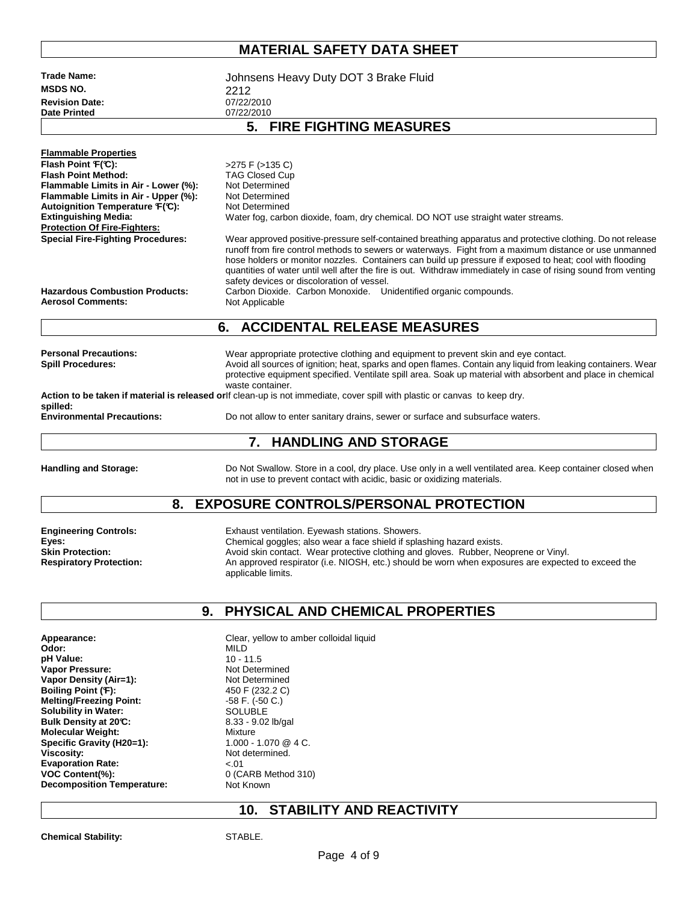| Trade Name:<br><b>MSDS NO.</b>                                    | Johnsens Heavy Duty DOT 3 Brake Fluid                                                                                                                                                                                                                                                                                                                                                                                                               |
|-------------------------------------------------------------------|-----------------------------------------------------------------------------------------------------------------------------------------------------------------------------------------------------------------------------------------------------------------------------------------------------------------------------------------------------------------------------------------------------------------------------------------------------|
| <b>Revision Date:</b>                                             | 2212<br>07/22/2010                                                                                                                                                                                                                                                                                                                                                                                                                                  |
| <b>Date Printed</b>                                               | 07/22/2010                                                                                                                                                                                                                                                                                                                                                                                                                                          |
|                                                                   | 5. FIRE FIGHTING MEASURES                                                                                                                                                                                                                                                                                                                                                                                                                           |
| <b>Flammable Properties</b>                                       |                                                                                                                                                                                                                                                                                                                                                                                                                                                     |
| Flash Point F(C):                                                 | >275 F (>135 C)                                                                                                                                                                                                                                                                                                                                                                                                                                     |
| <b>Flash Point Method:</b>                                        | <b>TAG Closed Cup</b>                                                                                                                                                                                                                                                                                                                                                                                                                               |
| Flammable Limits in Air - Lower (%):                              | Not Determined                                                                                                                                                                                                                                                                                                                                                                                                                                      |
| Flammable Limits in Air - Upper (%):                              | Not Determined                                                                                                                                                                                                                                                                                                                                                                                                                                      |
| Autoignition Temperature F(C):<br><b>Extinguishing Media:</b>     | Not Determined<br>Water fog, carbon dioxide, foam, dry chemical. DO NOT use straight water streams.                                                                                                                                                                                                                                                                                                                                                 |
| <b>Protection Of Fire-Fighters:</b>                               |                                                                                                                                                                                                                                                                                                                                                                                                                                                     |
| <b>Special Fire-Fighting Procedures:</b>                          | Wear approved positive-pressure self-contained breathing apparatus and protective clothing. Do not release<br>runoff from fire control methods to sewers or waterways. Fight from a maximum distance or use unmanned<br>hose holders or monitor nozzles. Containers can build up pressure if exposed to heat; cool with flooding<br>quantities of water until well after the fire is out. Withdraw immediately in case of rising sound from venting |
| <b>Hazardous Combustion Products:</b><br><b>Aerosol Comments:</b> | safety devices or discoloration of vessel.<br>Carbon Dioxide. Carbon Monoxide. Unidentified organic compounds.<br>Not Applicable                                                                                                                                                                                                                                                                                                                    |
|                                                                   | <b>ACCIDENTAL RELEASE MEASURES</b><br>6.                                                                                                                                                                                                                                                                                                                                                                                                            |
|                                                                   |                                                                                                                                                                                                                                                                                                                                                                                                                                                     |
| <b>Personal Precautions:</b><br><b>Spill Procedures:</b>          | Wear appropriate protective clothing and equipment to prevent skin and eye contact.<br>Avoid all sources of ignition; heat, sparks and open flames. Contain any liquid from leaking containers. Wear<br>protective equipment specified. Ventilate spill area. Soak up material with absorbent and place in chemical<br>waste container.                                                                                                             |
| spilled:                                                          | Action to be taken if material is released orlf clean-up is not immediate, cover spill with plastic or canvas to keep dry.                                                                                                                                                                                                                                                                                                                          |
| <b>Environmental Precautions:</b>                                 | Do not allow to enter sanitary drains, sewer or surface and subsurface waters.                                                                                                                                                                                                                                                                                                                                                                      |
|                                                                   | <b>HANDLING AND STORAGE</b><br>7.                                                                                                                                                                                                                                                                                                                                                                                                                   |
| <b>Handling and Storage:</b>                                      | Do Not Swallow. Store in a cool, dry place. Use only in a well ventilated area. Keep container closed when<br>not in use to prevent contact with acidic, basic or oxidizing materials.                                                                                                                                                                                                                                                              |
| 8.                                                                | <b>EXPOSURE CONTROLS/PERSONAL PROTECTION</b>                                                                                                                                                                                                                                                                                                                                                                                                        |
|                                                                   |                                                                                                                                                                                                                                                                                                                                                                                                                                                     |
| <b>Engineering Controls:</b><br>Eyes:                             | Exhaust ventilation. Eyewash stations. Showers.<br>Chemical goggles; also wear a face shield if splashing hazard exists.                                                                                                                                                                                                                                                                                                                            |
| <b>Skin Protection:</b>                                           | Avoid skin contact. Wear protective clothing and gloves. Rubber, Neoprene or Vinyl.                                                                                                                                                                                                                                                                                                                                                                 |
| <b>Respiratory Protection:</b>                                    | An approved respirator (i.e. NIOSH, etc.) should be worn when exposures are expected to exceed the                                                                                                                                                                                                                                                                                                                                                  |
|                                                                   | applicable limits.                                                                                                                                                                                                                                                                                                                                                                                                                                  |
| 9.                                                                | PHYSICAL AND CHEMICAL PROPERTIES                                                                                                                                                                                                                                                                                                                                                                                                                    |
|                                                                   |                                                                                                                                                                                                                                                                                                                                                                                                                                                     |
| Appearance:                                                       | Clear, yellow to amber colloidal liquid                                                                                                                                                                                                                                                                                                                                                                                                             |
| Odor:<br>pH Value:                                                | MILD<br>$10 - 11.5$                                                                                                                                                                                                                                                                                                                                                                                                                                 |
| Vapor Pressure:                                                   | Not Determined                                                                                                                                                                                                                                                                                                                                                                                                                                      |
| Vapor Density (Air=1):                                            | Not Determined                                                                                                                                                                                                                                                                                                                                                                                                                                      |
| Boiling Point (F):                                                | 450 F (232.2 C)                                                                                                                                                                                                                                                                                                                                                                                                                                     |
| <b>Melting/Freezing Point:</b>                                    | $-58$ F. $(-50 C.)$                                                                                                                                                                                                                                                                                                                                                                                                                                 |
| <b>Solubility in Water:</b><br>Bulk Density at 20°C:              | <b>SOLUBLE</b><br>8.33 - 9.02 lb/gal                                                                                                                                                                                                                                                                                                                                                                                                                |

**Molecular Weight:** Mixture

**Decomposition Temperature:** Not Known

**Specific Gravity (H20=1):** 1.000 - 1.070 @ 4 C. Viscosity:<br>
Evaporation Rate:<br>  $\begin{array}{ccc}\n & \times 0 & \\
 & \times 0 & \\
\end{array}$ **Evaporation Rate:**  $\begin{array}{ccc} \text{Exaporation} & \text{Ex} \\ \text{VOC Content}(\%): & \text{O(CORB Method 310)} \end{array}$ **VOC Content(%):** 0 (CARB Method 310)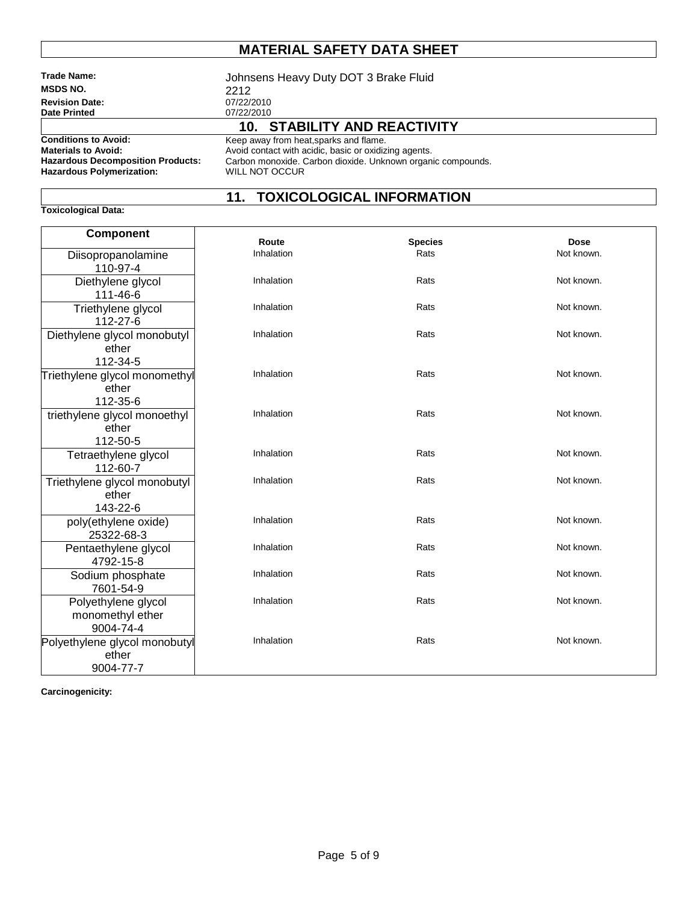| <b>Trade Name:</b>                       | Johnsens Heavy Duty DOT 3 Brake Fluid                       |  |  |  |
|------------------------------------------|-------------------------------------------------------------|--|--|--|
| <b>MSDS NO.</b>                          | 2212                                                        |  |  |  |
| <b>Revision Date:</b>                    | 07/22/2010                                                  |  |  |  |
| <b>Date Printed</b>                      | 07/22/2010                                                  |  |  |  |
|                                          | 10. STABILITY AND REACTIVITY                                |  |  |  |
| <b>Conditions to Avoid:</b>              | Keep away from heat, sparks and flame.                      |  |  |  |
| <b>Materials to Avoid:</b>               | Avoid contact with acidic, basic or oxidizing agents.       |  |  |  |
| <b>Hazardous Decomposition Products:</b> | Carbon monoxide. Carbon dioxide. Unknown organic compounds. |  |  |  |
| <b>Hazardous Polymerization:</b>         | WILL NOT OCCUR                                              |  |  |  |

#### **11. TOXICOLOGICAL INFORMATION**

**Component Route Conserversity Conserversity Species** Conserversity Dose<br> **Rats** Conserversity Doctrines Rats Not know Diisopropanolamine 110-97-4 Not known. Diethylene glycol 111-46-6 Inhalation **Rats** Rats **Not known.** Triethylene glycol 112-27-6 Inhalation **Rats** Rats **Not known.** Diethylene glycol monobutyl ether 112-34-5 Inhalation **Rats** Rats **Not known.** Triethylene glycol monomethyl ether 112-35-6 Inhalation **Rats** Rats **Rats** Not known. triethylene glycol monoethyl ether 112-50-5 Inhalation **Rats** Rats **Not known.** Tetraethylene glycol 112-60-7 Inhalation **Rats** Rats **Not known.** Triethylene glycol monobutyl ether 143-22-6 Inhalation **Rats** Rats **Not known.** poly(ethylene oxide) 25322-68-3 Inhalation **Rats** Rats **Not known.** Pentaethylene glycol 4792-15-8 Inhalation **Rats** Rats **Not known.** Sodium phosphate 7601-54-9 Inhalation **Rats** Rats **Not known.** Polyethylene glycol monomethyl ether 9004-74-4 Inhalation **Rats** Rats **Not known.** Polyethylene glycol monobutyl ether 9004-77-7 Inhalation **Rats** Rats **Not known.** 

**Carcinogenicity:** 

**Toxicological Data:**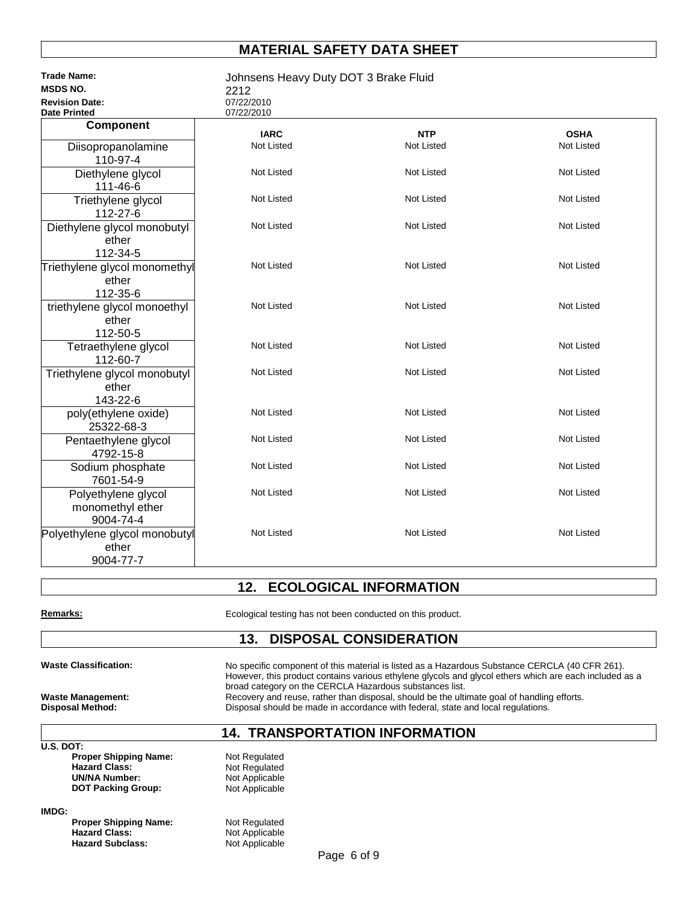| <b>Trade Name:</b><br><b>MSDS NO.</b>                | Johnsens Heavy Duty DOT 3 Brake Fluid |                   |                   |
|------------------------------------------------------|---------------------------------------|-------------------|-------------------|
| <b>Revision Date:</b>                                | 2212<br>07/22/2010                    |                   |                   |
| <b>Date Printed</b>                                  | 07/22/2010                            |                   |                   |
| Component                                            | <b>IARC</b>                           | <b>NTP</b>        | <b>OSHA</b>       |
| Diisopropanolamine<br>110-97-4                       | Not Listed                            | <b>Not Listed</b> | Not Listed        |
| Diethylene glycol<br>111-46-6                        | Not Listed                            | <b>Not Listed</b> | Not Listed        |
| Triethylene glycol<br>112-27-6                       | Not Listed                            | <b>Not Listed</b> | <b>Not Listed</b> |
| Diethylene glycol monobutyl<br>ether<br>112-34-5     | Not Listed                            | <b>Not Listed</b> | <b>Not Listed</b> |
| Triethylene glycol monomethyl<br>ether<br>112-35-6   | Not Listed                            | <b>Not Listed</b> | Not Listed        |
| triethylene glycol monoethyl<br>ether<br>112-50-5    | Not Listed                            | <b>Not Listed</b> | Not Listed        |
| Tetraethylene glycol<br>112-60-7                     | Not Listed                            | <b>Not Listed</b> | Not Listed        |
| Triethylene glycol monobutyl<br>ether<br>143-22-6    | Not Listed                            | <b>Not Listed</b> | Not Listed        |
| poly(ethylene oxide)<br>25322-68-3                   | Not Listed                            | <b>Not Listed</b> | Not Listed        |
| Pentaethylene glycol<br>4792-15-8                    | Not Listed                            | <b>Not Listed</b> | Not Listed        |
| Sodium phosphate<br>7601-54-9                        | Not Listed                            | <b>Not Listed</b> | Not Listed        |
| Polyethylene glycol<br>monomethyl ether<br>9004-74-4 | Not Listed                            | <b>Not Listed</b> | Not Listed        |
| Polyethylene glycol monobutyl<br>ether<br>9004-77-7  | Not Listed                            | <b>Not Listed</b> | <b>Not Listed</b> |

#### **12. ECOLOGICAL INFORMATION**

| Remarks: |  |
|----------|--|
|          |  |

Ecological testing has not been conducted on this product.

#### **13. DISPOSAL CONSIDERATION**

Waste Classification: No specific component of this material is listed as a Hazardous Substance CERCLA (40 CFR 261). However, this product contains various ethylene glycols and glycol ethers which are each included as a broad category on the CERCLA Hazardous substances list. **Waste Management: Recovery and reuse, rather than disposal, should be the ultimate goal of handling efforts.<br>
<b>Disposal Should be made in accordance with federal, state and local regulations.** Disposal should be made in accordance with federal, state and local regulations.

#### **14. TRANSPORTATION INFORMATION**

|           |                              | 14. INANJ      |
|-----------|------------------------------|----------------|
| U.S. DOT: |                              |                |
|           | <b>Proper Shipping Name:</b> | Not Regulated  |
|           | <b>Hazard Class:</b>         | Not Regulated  |
|           | <b>UN/NA Number:</b>         | Not Applicable |
|           | <b>DOT Packing Group:</b>    | Not Applicable |
| IMDG:     |                              |                |
|           | <b>Proper Shipping Name:</b> | Not Regulated  |
|           | <b>Hazard Class:</b>         | Not Applicable |

**Hazard Subclass:** Not Applicable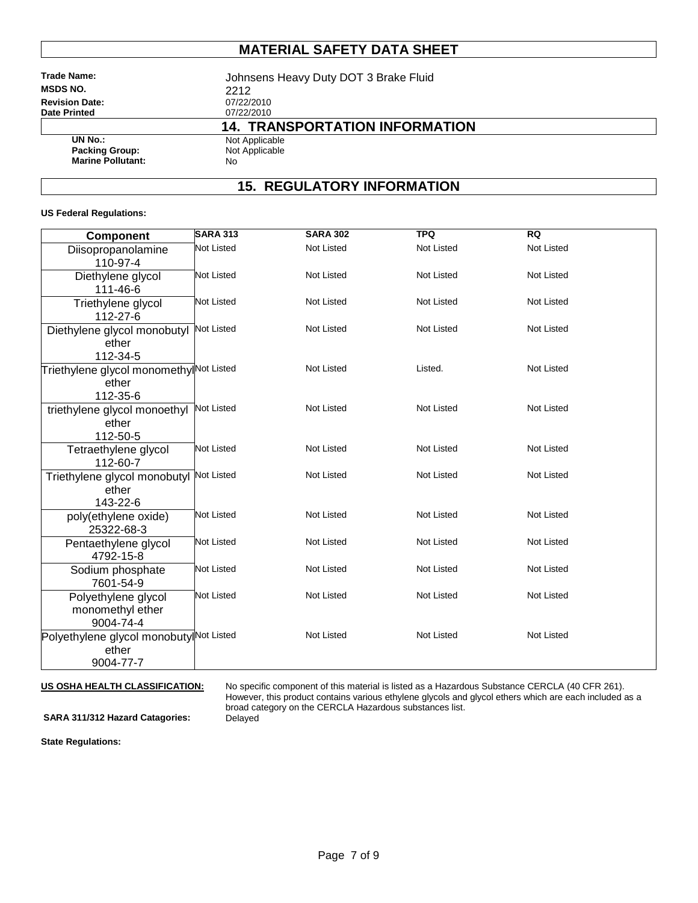**MSDS NO.** 2212<br> **Revision Date:** 2021/22/2010 **Revision Date:** 07/22/2010<br> **Date Printed** 07/22/2010 **Date Printed** 

**Trade Name:** Johnsens Heavy Duty DOT 3 Brake Fluid **14. TRANSPORTATION INFORMATION**

**Packing Group:** Not Applicable **Marine Pollutant:** No

**UN No.:** Not Applicable<br> **Packing Group:** Not Applicable

### **15. REGULATORY INFORMATION**

#### **US Federal Regulations:**

| <b>Component</b>                                    | <b>SARA 313</b>   | <b>SARA 302</b>   | <b>TPQ</b>        | <b>RQ</b>         |
|-----------------------------------------------------|-------------------|-------------------|-------------------|-------------------|
| Diisopropanolamine                                  | <b>Not Listed</b> | <b>Not Listed</b> | Not Listed        | <b>Not Listed</b> |
| 110-97-4                                            |                   |                   |                   |                   |
| Diethylene glycol                                   | Not Listed        | <b>Not Listed</b> | <b>Not Listed</b> | <b>Not Listed</b> |
| 111-46-6                                            |                   |                   |                   |                   |
| Triethylene glycol                                  | <b>Not Listed</b> | <b>Not Listed</b> | Not Listed        | <b>Not Listed</b> |
| 112-27-6                                            |                   |                   |                   |                   |
| Diethylene glycol monobutyl                         | <b>Not Listed</b> | <b>Not Listed</b> | <b>Not Listed</b> | <b>Not Listed</b> |
| ether                                               |                   |                   |                   |                   |
| 112-34-5                                            |                   |                   |                   |                   |
| Triethylene glycol monomethyl <sup>Not Listed</sup> |                   | Not Listed        | Listed.           | Not Listed        |
| ether                                               |                   |                   |                   |                   |
| 112-35-6                                            |                   |                   |                   |                   |
| triethylene glycol monoethyl                        | <b>Not Listed</b> | <b>Not Listed</b> | <b>Not Listed</b> | <b>Not Listed</b> |
| ether                                               |                   |                   |                   |                   |
| 112-50-5                                            |                   |                   |                   |                   |
| Tetraethylene glycol                                | <b>Not Listed</b> | <b>Not Listed</b> | <b>Not Listed</b> | <b>Not Listed</b> |
| 112-60-7                                            | <b>Not Listed</b> | <b>Not Listed</b> | <b>Not Listed</b> | <b>Not Listed</b> |
| Triethylene glycol monobutyl                        |                   |                   |                   |                   |
| ether<br>143-22-6                                   |                   |                   |                   |                   |
|                                                     | Not Listed        | <b>Not Listed</b> | <b>Not Listed</b> | Not Listed        |
| poly(ethylene oxide)<br>25322-68-3                  |                   |                   |                   |                   |
| Pentaethylene glycol                                | Not Listed        | <b>Not Listed</b> | <b>Not Listed</b> | <b>Not Listed</b> |
| 4792-15-8                                           |                   |                   |                   |                   |
| Sodium phosphate                                    | Not Listed        | <b>Not Listed</b> | <b>Not Listed</b> | <b>Not Listed</b> |
| 7601-54-9                                           |                   |                   |                   |                   |
| Polyethylene glycol                                 | Not Listed        | Not Listed        | Not Listed        | Not Listed        |
| monomethyl ether                                    |                   |                   |                   |                   |
| 9004-74-4                                           |                   |                   |                   |                   |
| Polyethylene glycol monobutylNot Listed             |                   | Not Listed        | Not Listed        | Not Listed        |
| ether                                               |                   |                   |                   |                   |
| 9004-77-7                                           |                   |                   |                   |                   |

#### US OSHA HEALTH CLASSIFICATION:

**US OSHA HEALTH CLASSIFICATION:** No specific component of this material is listed as a Hazardous Substance CERCLA (40 CFR 261). However, this product contains various ethylene glycols and glycol ethers which are each included as a broad category on the CERCLA Hazardous substances list.

SARA 311/312 Hazard Catagories: Delayed

**State Regulations:**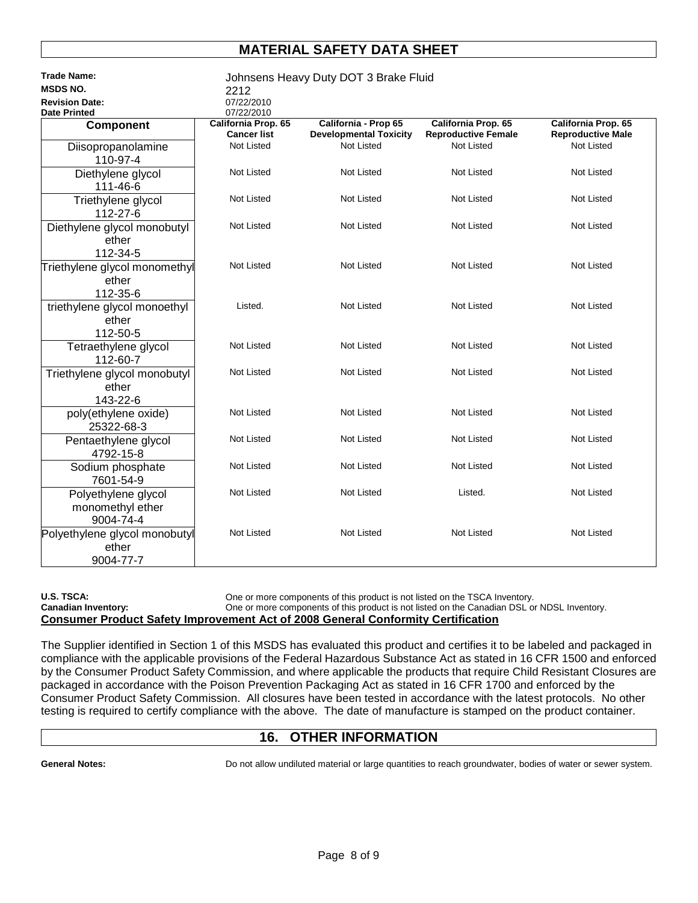| <b>Trade Name:</b>                                   | Johnsens Heavy Duty DOT 3 Brake Fluid |                                                       |                                                   |                                                 |
|------------------------------------------------------|---------------------------------------|-------------------------------------------------------|---------------------------------------------------|-------------------------------------------------|
| <b>MSDS NO.</b>                                      | 2212                                  |                                                       |                                                   |                                                 |
| <b>Revision Date:</b>                                | 07/22/2010                            |                                                       |                                                   |                                                 |
| <b>Date Printed</b>                                  | 07/22/2010                            |                                                       |                                                   |                                                 |
| Component                                            | California Prop. 65<br>Cancer list    | California - Prop 65<br><b>Developmental Toxicity</b> | California Prop. 65<br><b>Reproductive Female</b> | California Prop. 65<br><b>Reproductive Male</b> |
| Diisopropanolamine<br>110-97-4                       | <b>Not Listed</b>                     | <b>Not Listed</b>                                     | <b>Not Listed</b>                                 | Not Listed                                      |
| Diethylene glycol<br>111-46-6                        | Not Listed                            | Not Listed                                            | Not Listed                                        | Not Listed                                      |
| Triethylene glycol<br>112-27-6                       | <b>Not Listed</b>                     | Not Listed                                            | Not Listed                                        | Not Listed                                      |
| Diethylene glycol monobutyl<br>ether<br>112-34-5     | Not Listed                            | Not Listed                                            | <b>Not Listed</b>                                 | Not Listed                                      |
| Triethylene glycol monomethyl<br>ether<br>112-35-6   | Not Listed                            | <b>Not Listed</b>                                     | <b>Not Listed</b>                                 | Not Listed                                      |
| triethylene glycol monoethyl<br>ether<br>112-50-5    | Listed.                               | <b>Not Listed</b>                                     | <b>Not Listed</b>                                 | Not Listed                                      |
| Tetraethylene glycol<br>112-60-7                     | Not Listed                            | Not Listed                                            | Not Listed                                        | Not Listed                                      |
| Triethylene glycol monobutyl<br>ether<br>143-22-6    | <b>Not Listed</b>                     | <b>Not Listed</b>                                     | <b>Not Listed</b>                                 | Not Listed                                      |
| poly(ethylene oxide)<br>25322-68-3                   | <b>Not Listed</b>                     | <b>Not Listed</b>                                     | <b>Not Listed</b>                                 | Not Listed                                      |
| Pentaethylene glycol<br>4792-15-8                    | <b>Not Listed</b>                     | <b>Not Listed</b>                                     | <b>Not Listed</b>                                 | Not Listed                                      |
| Sodium phosphate<br>7601-54-9                        | <b>Not Listed</b>                     | Not Listed                                            | Not Listed                                        | Not Listed                                      |
| Polyethylene glycol<br>monomethyl ether<br>9004-74-4 | <b>Not Listed</b>                     | <b>Not Listed</b>                                     | Listed.                                           | Not Listed                                      |
| Polyethylene glycol monobutyl<br>ether<br>9004-77-7  | Not Listed                            | Not Listed                                            | Not Listed                                        | Not Listed                                      |

U.S. TSCA: COME ONE ONE ONE ONE ONE COMPONENTS OF this product is not listed on the TSCA Inventory.

Canadian Inventory: **One or more components of this product is not listed on the Canadian DSL or NDSL Inventory. Consumer Product Safety Improvement Act of 2008 General Conformity Certification** 

The Supplier identified in Section 1 of this MSDS has evaluated this product and certifies it to be labeled and packaged in compliance with the applicable provisions of the Federal Hazardous Substance Act as stated in 16 CFR 1500 and enforced by the Consumer Product Safety Commission, and where applicable the products that require Child Resistant Closures are packaged in accordance with the Poison Prevention Packaging Act as stated in 16 CFR 1700 and enforced by the Consumer Product Safety Commission. All closures have been tested in accordance with the latest protocols. No other testing is required to certify compliance with the above. The date of manufacture is stamped on the product container.

#### **16. OTHER INFORMATION**

General Notes: **Do not allow undiluted material or large quantities to reach groundwater, bodies of water or sewer system.**